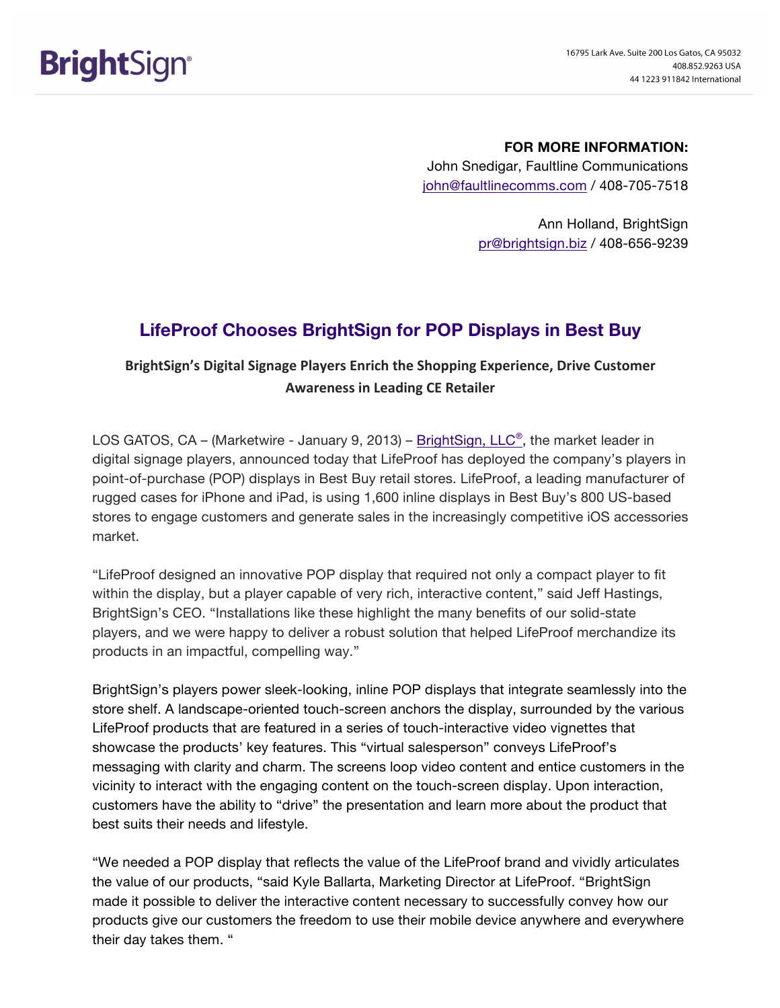## **FOR MORE INFORMATION:**

John Snedigar, Faultline Communications john@faultlinecomms.com / 408-705-7518

> Ann Holland, BrightSign pr@brightsign.biz / 408-656-9239

## **LifeProof Chooses BrightSign for POP Displays in Best Buy**

## BrightSign's Digital Signage Players Enrich the Shopping Experience, Drive Customer **Awareness in Leading CE Retailer**

LOS GATOS, CA – (Marketwire - January 9, 2013) –  $BrightSign$ , LLC®, the market leader in digital signage players, announced today that LifeProof has deployed the company's players in point-of-purchase (POP) displays in Best Buy retail stores. LifeProof, a leading manufacturer of rugged cases for iPhone and iPad, is using 1,600 inline displays in Best Buy's 800 US-based stores to engage customers and generate sales in the increasingly competitive iOS accessories market.

"LifeProof designed an innovative POP display that required not only a compact player to fit within the display, but a player capable of very rich, interactive content," said Jeff Hastings, BrightSign's CEO. "Installations like these highlight the many benefits of our solid-state players, and we were happy to deliver a robust solution that helped LifeProof merchandize its products in an impactful, compelling way."

BrightSign's players power sleek-looking, inline POP displays that integrate seamlessly into the store shelf. A landscape-oriented touch-screen anchors the display, surrounded by the various LifeProof products that are featured in a series of touch-interactive video vignettes that showcase the products' key features. This "virtual salesperson" conveys LifeProof's messaging with clarity and charm. The screens loop video content and entice customers in the vicinity to interact with the engaging content on the touch-screen display. Upon interaction, customers have the ability to "drive" the presentation and learn more about the product that best suits their needs and lifestyle.

"We needed a POP display that reflects the value of the LifeProof brand and vividly articulates the value of our products, "said Kyle Ballarta, Marketing Director at LifeProof. "BrightSign made it possible to deliver the interactive content necessary to successfully convey how our products give our customers the freedom to use their mobile device anywhere and everywhere their day takes them. "